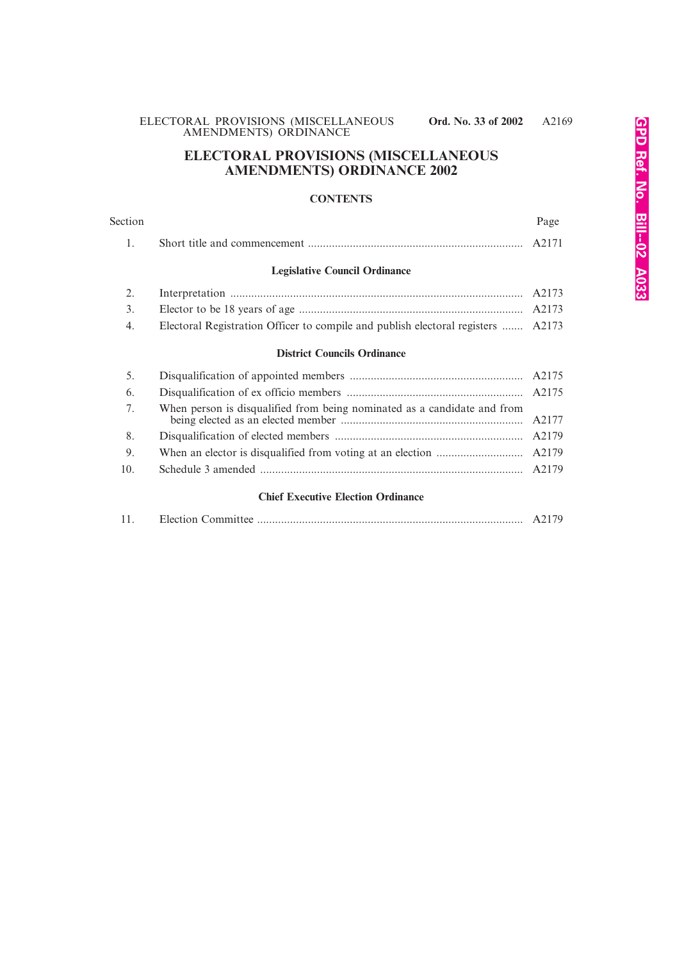# **ELECTORAL PROVISIONS (MISCELLANEOUS AMENDMENTS) ORDINANCE 2002**

#### **CONTENTS**

# Section Page 2014 and 2016 and 2016 and 2017 and 2018 and 2017 and 2018 and 2018 and 2018 and 2018 and 2018 and 2018 1. Short title and commencement ........................................................................ A2171

# **Legislative Council Ordinance**

| 2. |                                                                                  |  |
|----|----------------------------------------------------------------------------------|--|
| 3. |                                                                                  |  |
| 4. | Electoral Registration Officer to compile and publish electoral registers  A2173 |  |

#### **District Councils Ordinance**

| 5.  |  |
|-----|--|
| 6.  |  |
| 7.  |  |
| 8.  |  |
| 9.  |  |
| 10. |  |
|     |  |

#### **Chief Executive Election Ordinance**

|--|--|--|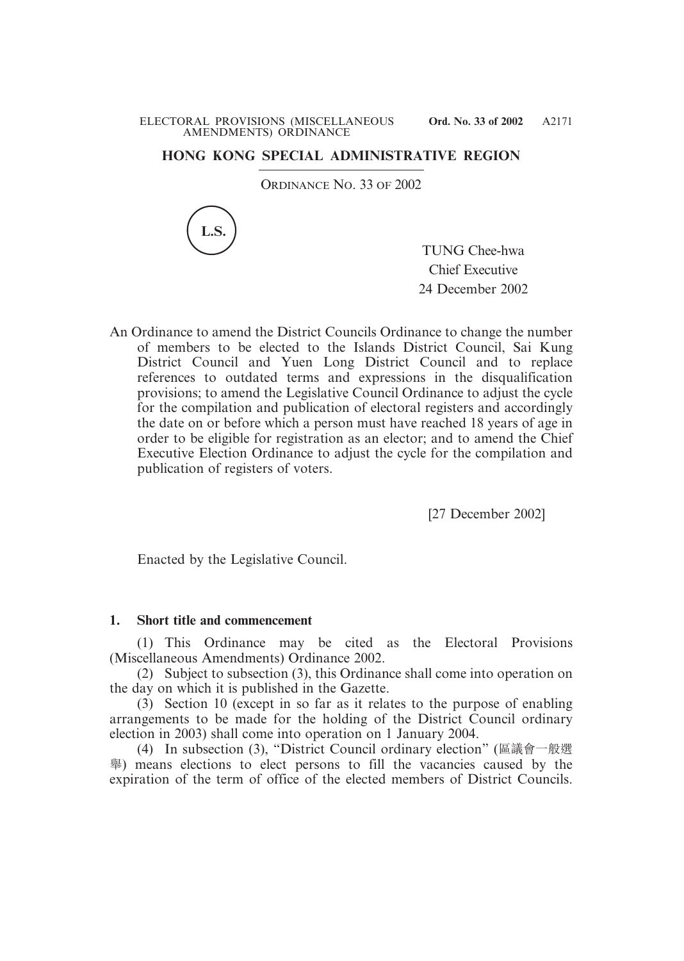# **HONG KONG SPECIAL ADMINISTRATIVE REGION**

ORDINANCE NO. 33 OF 2002



TUNG Chee-hwa Chief Executive 24 December 2002

An Ordinance to amend the District Councils Ordinance to change the number of members to be elected to the Islands District Council, Sai Kung District Council and Yuen Long District Council and to replace references to outdated terms and expressions in the disqualification provisions; to amend the Legislative Council Ordinance to adjust the cycle for the compilation and publication of electoral registers and accordingly the date on or before which a person must have reached 18 years of age in order to be eligible for registration as an elector; and to amend the Chief Executive Election Ordinance to adjust the cycle for the compilation and publication of registers of voters.

[27 December 2002]

Enacted by the Legislative Council.

#### **1. Short title and commencement**

(1) This Ordinance may be cited as the Electoral Provisions (Miscellaneous Amendments) Ordinance 2002.

(2) Subject to subsection (3), this Ordinance shall come into operation on the day on which it is published in the Gazette.

(3) Section 10 (except in so far as it relates to the purpose of enabling arrangements to be made for the holding of the District Council ordinary election in 2003) shall come into operation on 1 January 2004.

(4) In subsection (3), "District Council ordinary election" (區議會一般選 舉) means elections to elect persons to fill the vacancies caused by the expiration of the term of office of the elected members of District Councils.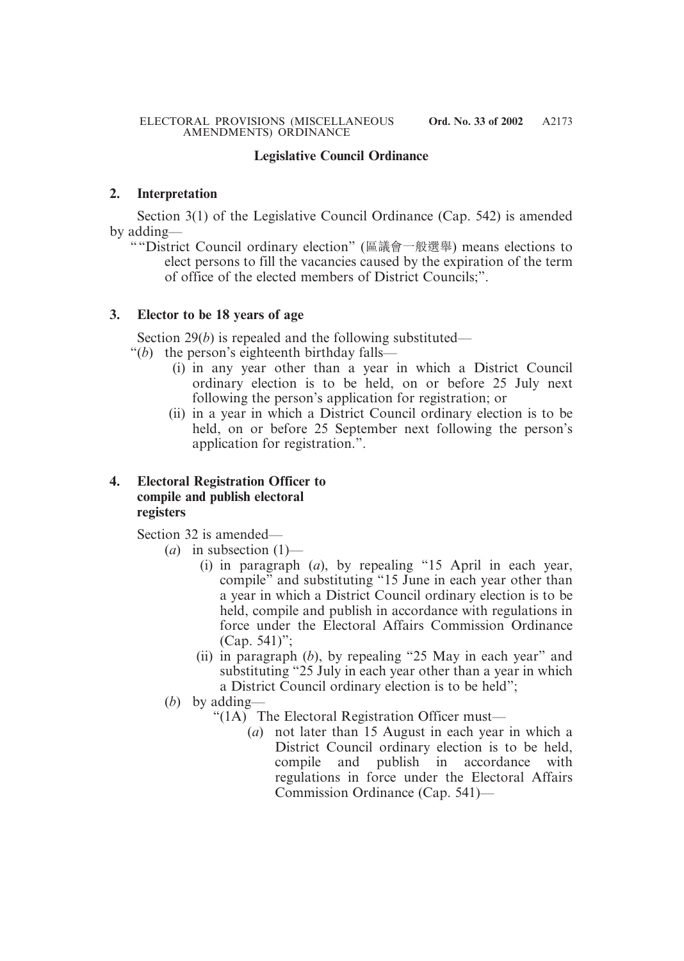# **Legislative Council Ordinance**

#### **2. Interpretation**

Section 3(1) of the Legislative Council Ordinance (Cap. 542) is amended by adding—

""District Council ordinary election" (區議會一般選舉) means elections to elect persons to fill the vacancies caused by the expiration of the term of office of the elected members of District Councils;".

#### **3. Elector to be 18 years of age**

Section 29(*b*) is repealed and the following substituted—

- "(*b*) the person's eighteenth birthday falls—
	- (i) in any year other than a year in which a District Council ordinary election is to be held, on or before 25 July next following the person's application for registration; or
	- (ii) in a year in which a District Council ordinary election is to be held, on or before 25 September next following the person's application for registration.".

#### **4. Electoral Registration Officer to compile and publish electoral registers**

Section 32 is amended—

- $(a)$  in subsection  $(1)$ 
	- (i) in paragraph (*a*), by repealing "15 April in each year, compile" and substituting "15 June in each year other than a year in which a District Council ordinary election is to be held, compile and publish in accordance with regulations in force under the Electoral Affairs Commission Ordinance (Cap. 541)";
	- (ii) in paragraph (*b*), by repealing "25 May in each year" and substituting "25 July in each year other than a year in which a District Council ordinary election is to be held";
- (*b*) by adding—
	- "(1A) The Electoral Registration Officer must—
		- (*a*) not later than 15 August in each year in which a District Council ordinary election is to be held, compile and publish in accordance with regulations in force under the Electoral Affairs Commission Ordinance (Cap. 541)—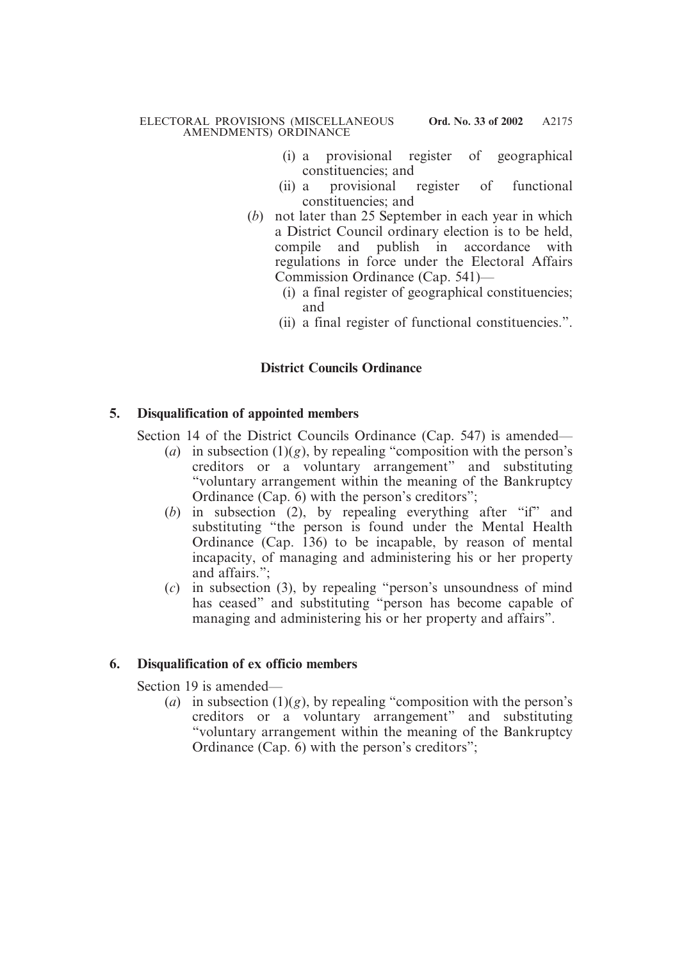- (i) a provisional register of geographical constituencies; and
- (ii) a provisional register of functional constituencies; and
- (*b*) not later than 25 September in each year in which a District Council ordinary election is to be held, compile and publish in accordance with regulations in force under the Electoral Affairs Commission Ordinance (Cap. 541)—
	- (i) a final register of geographical constituencies; and
	- (ii) a final register of functional constituencies.".

# **District Councils Ordinance**

#### **5. Disqualification of appointed members**

Section 14 of the District Councils Ordinance (Cap. 547) is amended—

- (*a*) in subsection  $(1)(g)$ , by repealing "composition with the person's creditors or a voluntary arrangement" and substituting "voluntary arrangement within the meaning of the Bankruptcy Ordinance (Cap. 6) with the person's creditors";
- (*b*) in subsection (2), by repealing everything after "if" and substituting "the person is found under the Mental Health Ordinance (Cap. 136) to be incapable, by reason of mental incapacity, of managing and administering his or her property and affairs.";
- (*c*) in subsection (3), by repealing "person's unsoundness of mind has ceased" and substituting "person has become capable of managing and administering his or her property and affairs".

# **6. Disqualification of ex officio members**

Section 19 is amended—

(*a*) in subsection  $(1)(g)$ , by repealing "composition with the person's creditors or a voluntary arrangement" and substituting "voluntary arrangement within the meaning of the Bankruptcy Ordinance (Cap. 6) with the person's creditors";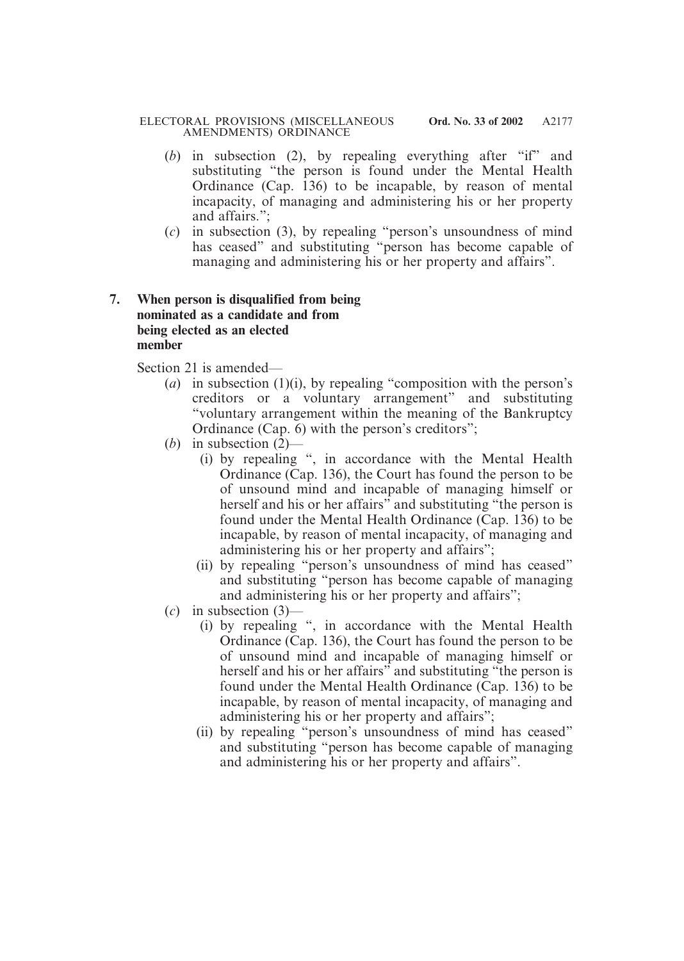#### ELECTORAL PROVISIONS (MISCELLANEOUS **Ord. No. 33 of 2002** AMENDMENTS) ORDINANCE

- (*b*) in subsection (2), by repealing everything after "if" and substituting "the person is found under the Mental Health Ordinance  $(Cap. 136)$  to be incapable, by reason of mental incapacity, of managing and administering his or her property and affairs.";
- (*c*) in subsection (3), by repealing "person's unsoundness of mind has ceased" and substituting "person has become capable of managing and administering his or her property and affairs".

# **7. When person is disqualified from being nominated as a candidate and from being elected as an elected member**

Section 21 is amended—

- (*a*) in subsection (1)(i), by repealing "composition with the person's creditors or a voluntary arrangement" and substituting "voluntary arrangement within the meaning of the Bankruptcy Ordinance (Cap. 6) with the person's creditors";
- (*b*) in subsection (2)—
	- (i) by repealing ", in accordance with the Mental Health Ordinance (Cap. 136), the Court has found the person to be of unsound mind and incapable of managing himself or herself and his or her affairs<sup>"</sup> and substituting "the person is found under the Mental Health Ordinance (Cap. 136) to be incapable, by reason of mental incapacity, of managing and administering his or her property and affairs";
	- (ii) by repealing "person's unsoundness of mind has ceased" and substituting "person has become capable of managing and administering his or her property and affairs";
- (*c*) in subsection (3)—
	- (i) by repealing ", in accordance with the Mental Health Ordinance (Cap. 136), the Court has found the person to be of unsound mind and incapable of managing himself or herself and his or her affairs" and substituting "the person is found under the Mental Health Ordinance (Cap. 136) to be incapable, by reason of mental incapacity, of managing and administering his or her property and affairs";
	- (ii) by repealing "person's unsoundness of mind has ceased" and substituting "person has become capable of managing and administering his or her property and affairs".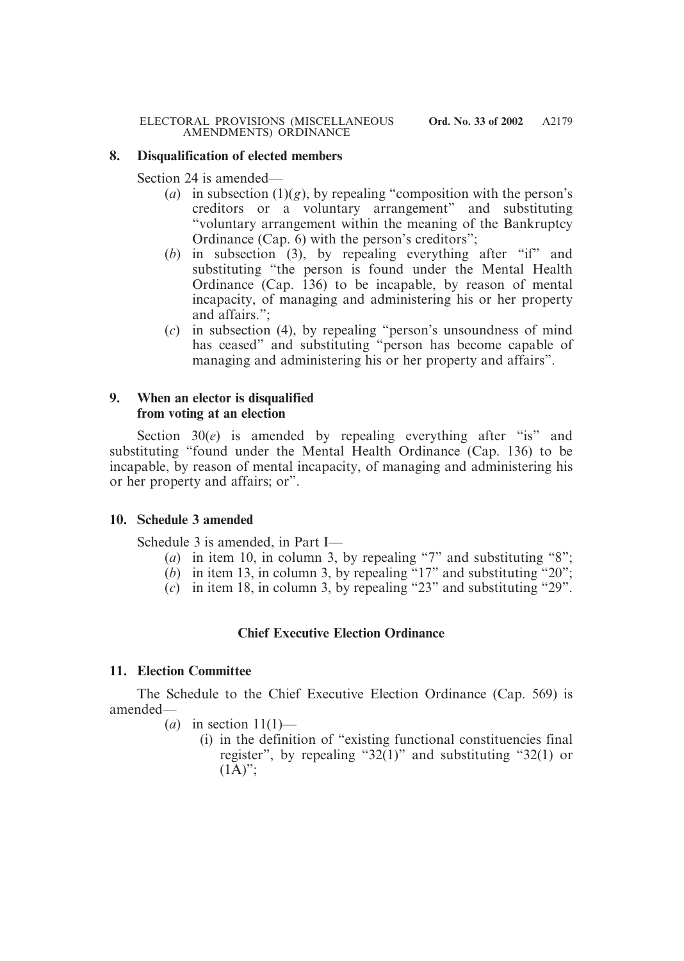#### **8. Disqualification of elected members**

Section 24 is amended—

- (*a*) in subsection  $(1)(g)$ , by repealing "composition with the person's creditors or a voluntary arrangement" and substituting "voluntary arrangement within the meaning of the Bankruptcy Ordinance (Cap. 6) with the person's creditors";
- (*b*) in subsection (3), by repealing everything after "if" and substituting "the person is found under the Mental Health Ordinance  $(Cap. 136)$  to be incapable, by reason of mental incapacity, of managing and administering his or her property and affairs."
- (*c*) in subsection (4), by repealing "person's unsoundness of mind has ceased" and substituting "person has become capable of managing and administering his or her property and affairs".

# **9. When an elector is disqualified from voting at an election**

Section 30(*e*) is amended by repealing everything after "is" and substituting "found under the Mental Health Ordinance (Cap. 136) to be incapable, by reason of mental incapacity, of managing and administering his or her property and affairs; or".

# **10. Schedule 3 amended**

Schedule 3 is amended, in Part I—

- (*a*) in item 10, in column 3, by repealing "7" and substituting "8";
- $(b)$  in item 13, in column 3, by repealing "17" and substituting "20";
- (*c*) in item 18, in column 3, by repealing "23" and substituting "29".

# **Chief Executive Election Ordinance**

# **11. Election Committee**

The Schedule to the Chief Executive Election Ordinance (Cap. 569) is amended—

- $(a)$  in section  $11(1)$ 
	- (i) in the definition of "existing functional constituencies final register", by repealing "32(1)" and substituting "32(1) or  $(1\overline{A})$ ":